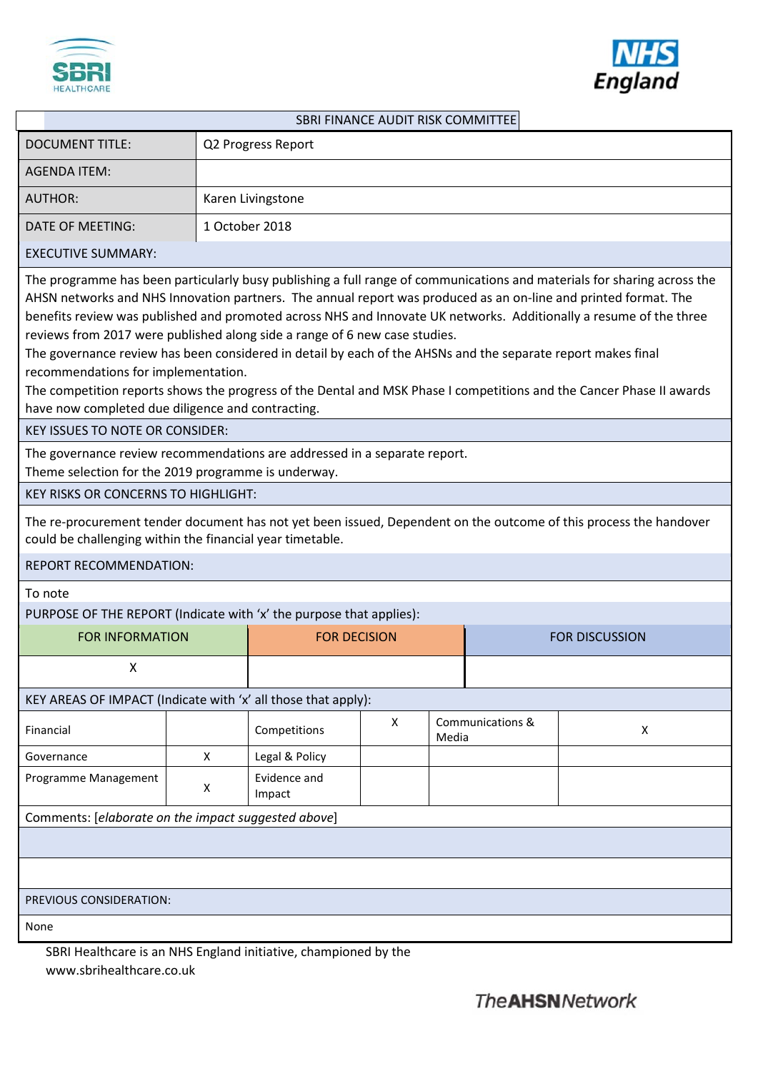



|                                                                                                                                                                                                                                                                                                                                                                                                           |                        |                        | SBRI FINANCE AUDIT RISK COMMITTEE |                     |                  |                                                                                                                                                                                                                                                                                                                                                                       |  |
|-----------------------------------------------------------------------------------------------------------------------------------------------------------------------------------------------------------------------------------------------------------------------------------------------------------------------------------------------------------------------------------------------------------|------------------------|------------------------|-----------------------------------|---------------------|------------------|-----------------------------------------------------------------------------------------------------------------------------------------------------------------------------------------------------------------------------------------------------------------------------------------------------------------------------------------------------------------------|--|
| <b>DOCUMENT TITLE:</b>                                                                                                                                                                                                                                                                                                                                                                                    |                        | Q2 Progress Report     |                                   |                     |                  |                                                                                                                                                                                                                                                                                                                                                                       |  |
| <b>AGENDA ITEM:</b>                                                                                                                                                                                                                                                                                                                                                                                       |                        |                        |                                   |                     |                  |                                                                                                                                                                                                                                                                                                                                                                       |  |
| <b>AUTHOR:</b>                                                                                                                                                                                                                                                                                                                                                                                            |                        | Karen Livingstone      |                                   |                     |                  |                                                                                                                                                                                                                                                                                                                                                                       |  |
| DATE OF MEETING:                                                                                                                                                                                                                                                                                                                                                                                          |                        | 1 October 2018         |                                   |                     |                  |                                                                                                                                                                                                                                                                                                                                                                       |  |
| <b>EXECUTIVE SUMMARY:</b>                                                                                                                                                                                                                                                                                                                                                                                 |                        |                        |                                   |                     |                  |                                                                                                                                                                                                                                                                                                                                                                       |  |
| AHSN networks and NHS Innovation partners. The annual report was produced as an on-line and printed format. The<br>reviews from 2017 were published along side a range of 6 new case studies.<br>The governance review has been considered in detail by each of the AHSNs and the separate report makes final<br>recommendations for implementation.<br>have now completed due diligence and contracting. |                        |                        |                                   |                     |                  | The programme has been particularly busy publishing a full range of communications and materials for sharing across the<br>benefits review was published and promoted across NHS and Innovate UK networks. Additionally a resume of the three<br>The competition reports shows the progress of the Dental and MSK Phase I competitions and the Cancer Phase II awards |  |
| <b>KEY ISSUES TO NOTE OR CONSIDER:</b>                                                                                                                                                                                                                                                                                                                                                                    |                        |                        |                                   |                     |                  |                                                                                                                                                                                                                                                                                                                                                                       |  |
| The governance review recommendations are addressed in a separate report.<br>Theme selection for the 2019 programme is underway.                                                                                                                                                                                                                                                                          |                        |                        |                                   |                     |                  |                                                                                                                                                                                                                                                                                                                                                                       |  |
| <b>KEY RISKS OR CONCERNS TO HIGHLIGHT:</b>                                                                                                                                                                                                                                                                                                                                                                |                        |                        |                                   |                     |                  |                                                                                                                                                                                                                                                                                                                                                                       |  |
| could be challenging within the financial year timetable.                                                                                                                                                                                                                                                                                                                                                 |                        |                        |                                   |                     |                  | The re-procurement tender document has not yet been issued, Dependent on the outcome of this process the handover                                                                                                                                                                                                                                                     |  |
| <b>REPORT RECOMMENDATION:</b>                                                                                                                                                                                                                                                                                                                                                                             |                        |                        |                                   |                     |                  |                                                                                                                                                                                                                                                                                                                                                                       |  |
| To note                                                                                                                                                                                                                                                                                                                                                                                                   |                        |                        |                                   |                     |                  |                                                                                                                                                                                                                                                                                                                                                                       |  |
| PURPOSE OF THE REPORT (Indicate with 'x' the purpose that applies):                                                                                                                                                                                                                                                                                                                                       |                        |                        |                                   |                     |                  |                                                                                                                                                                                                                                                                                                                                                                       |  |
|                                                                                                                                                                                                                                                                                                                                                                                                           | <b>FOR INFORMATION</b> |                        |                                   | <b>FOR DECISION</b> |                  | <b>FOR DISCUSSION</b>                                                                                                                                                                                                                                                                                                                                                 |  |
| X                                                                                                                                                                                                                                                                                                                                                                                                         |                        |                        |                                   |                     |                  |                                                                                                                                                                                                                                                                                                                                                                       |  |
| KEY AREAS OF IMPACT (Indicate with 'x' all those that apply):                                                                                                                                                                                                                                                                                                                                             |                        |                        |                                   |                     |                  |                                                                                                                                                                                                                                                                                                                                                                       |  |
| Financial                                                                                                                                                                                                                                                                                                                                                                                                 |                        | Competitions           | X                                 | Media               | Communications & | X                                                                                                                                                                                                                                                                                                                                                                     |  |
| Governance                                                                                                                                                                                                                                                                                                                                                                                                | X                      | Legal & Policy         |                                   |                     |                  |                                                                                                                                                                                                                                                                                                                                                                       |  |
| Programme Management                                                                                                                                                                                                                                                                                                                                                                                      | X                      | Evidence and<br>Impact |                                   |                     |                  |                                                                                                                                                                                                                                                                                                                                                                       |  |
| Comments: [elaborate on the impact suggested above]                                                                                                                                                                                                                                                                                                                                                       |                        |                        |                                   |                     |                  |                                                                                                                                                                                                                                                                                                                                                                       |  |
|                                                                                                                                                                                                                                                                                                                                                                                                           |                        |                        |                                   |                     |                  |                                                                                                                                                                                                                                                                                                                                                                       |  |
|                                                                                                                                                                                                                                                                                                                                                                                                           |                        |                        |                                   |                     |                  |                                                                                                                                                                                                                                                                                                                                                                       |  |
| PREVIOUS CONSIDERATION:                                                                                                                                                                                                                                                                                                                                                                                   |                        |                        |                                   |                     |                  |                                                                                                                                                                                                                                                                                                                                                                       |  |
| None                                                                                                                                                                                                                                                                                                                                                                                                      |                        |                        |                                   |                     |                  |                                                                                                                                                                                                                                                                                                                                                                       |  |

SBRI Healthcare is an NHS England initiative, championed by the www.sbrihealthcare.co.uk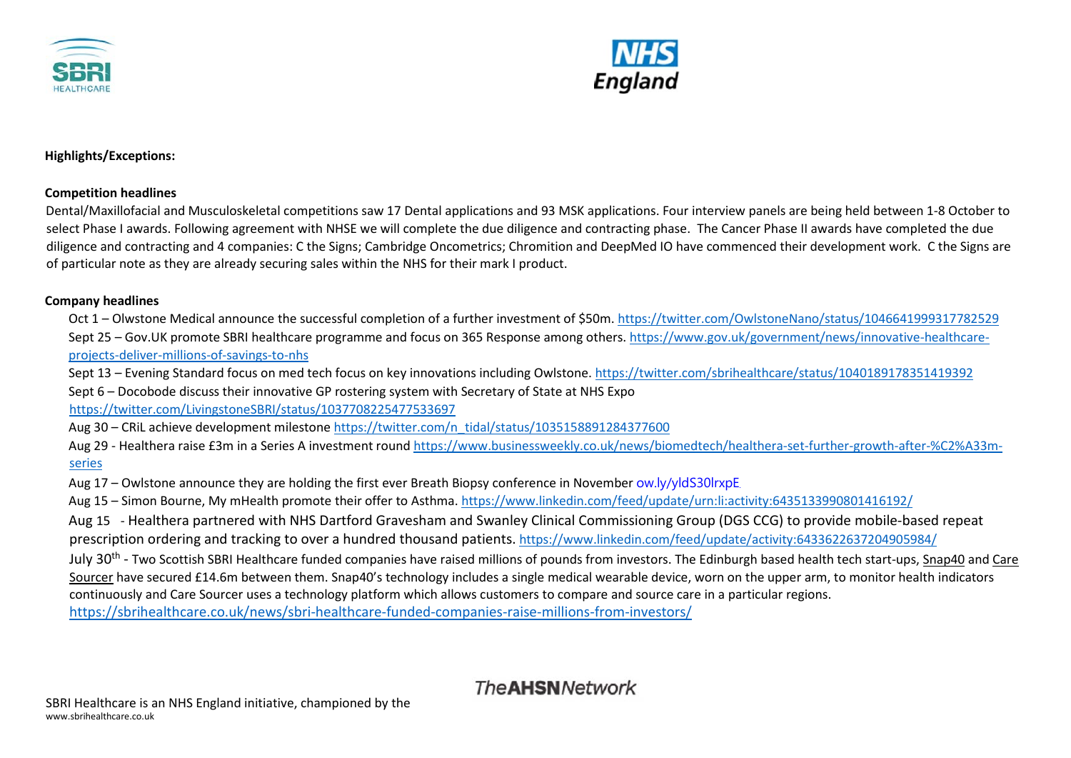



**Highlights/Exceptions:** 

#### **Competition headlines**

Dental/Maxillofacial and Musculoskeletal competitions saw 17 Dental applications and 93 MSK applications. Four interview panels are being held between 1-8 October to select Phase I awards. Following agreement with NHSE we will complete the due diligence and contracting phase. The Cancer Phase II awards have completed the due diligence and contracting and 4 companies: C the Signs; Cambridge Oncometrics; Chromition and DeepMed IO have commenced their development work. C the Signs are of particular note as they are already securing sales within the NHS for their mark I product.

### **Company headlines**

Oct 1 – Olwstone Medical announce the successful completion of a further investment of \$50m[. https://twitter.com/OwlstoneNano/status/1046641999317782529](https://twitter.com/OwlstoneNano/status/1046641999317782529) Sept 25 – Gov.UK promote SBRI healthcare programme and focus on 365 Response among others. [https://www.gov.uk/government/news/innovative-healthcare](https://www.gov.uk/government/news/innovative-healthcare-projects-deliver-millions-of-savings-to-nhs)[projects-deliver-millions-of-savings-to-nhs](https://www.gov.uk/government/news/innovative-healthcare-projects-deliver-millions-of-savings-to-nhs)

Sept 13 – Evening Standard focus on med tech focus on key innovations including Owlstone. <https://twitter.com/sbrihealthcare/status/1040189178351419392> Sept 6 – Docobode discuss their innovative GP rostering system with Secretary of State at NHS Expo

<https://twitter.com/LivingstoneSBRI/status/1037708225477533697>

Aug 30 – CRiL achieve development mileston[e https://twitter.com/n\\_tidal/status/1035158891284377600](https://twitter.com/n_tidal/status/1035158891284377600)

Aug 29 - Healthera raise £3m in a Series A investment round [https://www.businessweekly.co.uk/news/biomedtech/healthera-set-further-growth-after-%C2%A33m](https://www.businessweekly.co.uk/news/biomedtech/healthera-set-further-growth-after-%C2%A33m-series)[series](https://www.businessweekly.co.uk/news/biomedtech/healthera-set-further-growth-after-%C2%A33m-series)

Aug 17 – Owlstone announce they are holding the first ever Breath Biopsy conference in November [ow.ly/yldS30lrxpE](https://t.co/gqMTkpJ9ep)

Aug 15 – Simon Bourne, My mHealth promote their offer to Asthma[. https://www.linkedin.com/feed/update/urn:li:activity:6435133990801416192/](https://www.linkedin.com/feed/update/urn:li:activity:6435133990801416192/)

Aug 15 - Healthera partnered with NHS Dartford Gravesham and Swanley Clinical Commissioning Group (DGS CCG) to provide mobile-based repeat prescription ordering and tracking to over a hundred thousand patients. <https://www.linkedin.com/feed/update/activity:6433622637204905984/>

July 30<sup>th</sup> - Two Scottish SBRI Healthcare funded companies have raised millions of pounds from investors. The Edinburgh based health tech start-ups, [Snap40](https://www.snap40.com/) and [Care](https://www.caresourcer.com/about-us-2/) [Sourcer](https://www.caresourcer.com/about-us-2/) have secured £14.6m between them. Snap40's technology includes a single medical wearable device, worn on the upper arm, to monitor health indicators continuously and Care Sourcer uses a technology platform which allows customers to compare and source care in a particular regions.

<https://sbrihealthcare.co.uk/news/sbri-healthcare-funded-companies-raise-millions-from-investors/>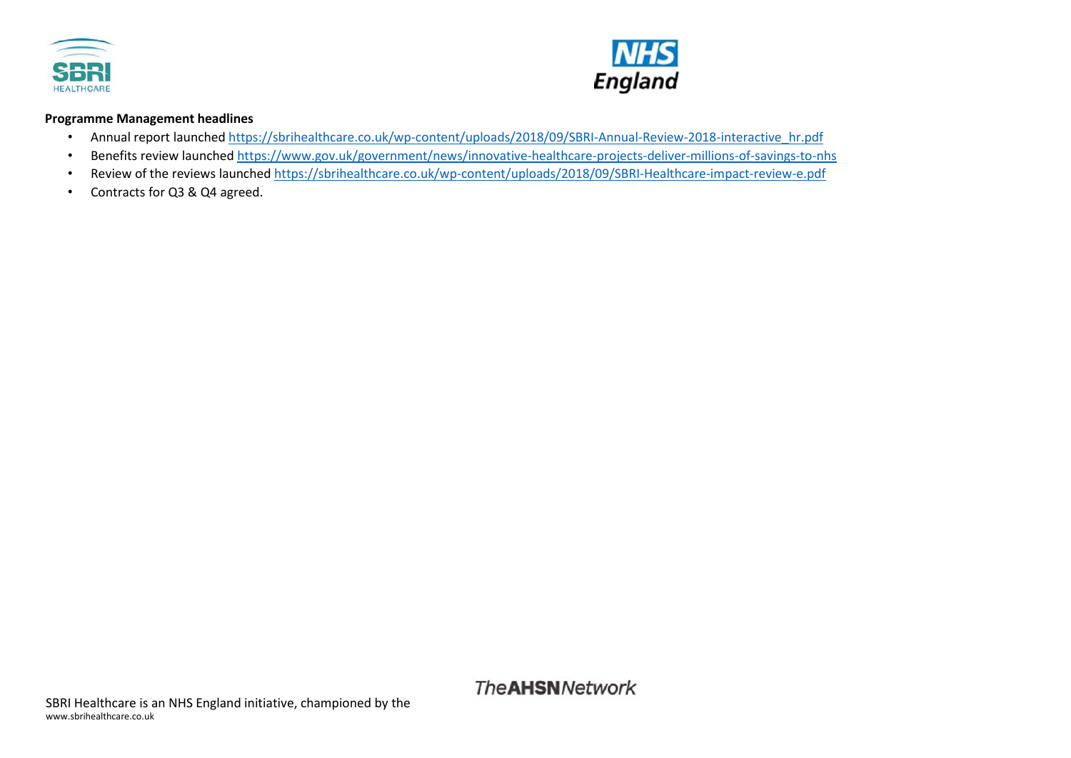



#### **Programme Management headlines**

- Annual report launche[d https://sbrihealthcare.co.uk/wp-content/uploads/2018/09/SBRI-Annual-Review-2018-interactive\\_hr.pdf](https://sbrihealthcare.co.uk/wp-content/uploads/2018/09/SBRI-Annual-Review-2018-interactive_hr.pdf)
- Benefits review launche[d https://www.gov.uk/government/news/innovative-healthcare-projects-deliver-millions-of-savings-to-nhs](https://www.gov.uk/government/news/innovative-healthcare-projects-deliver-millions-of-savings-to-nhs)
- Review of the reviews launche[d https://sbrihealthcare.co.uk/wp-content/uploads/2018/09/SBRI-Healthcare-impact-review-e.pdf](https://sbrihealthcare.co.uk/wp-content/uploads/2018/09/SBRI-Healthcare-impact-review-e.pdf)
- Contracts for Q3 & Q4 agreed.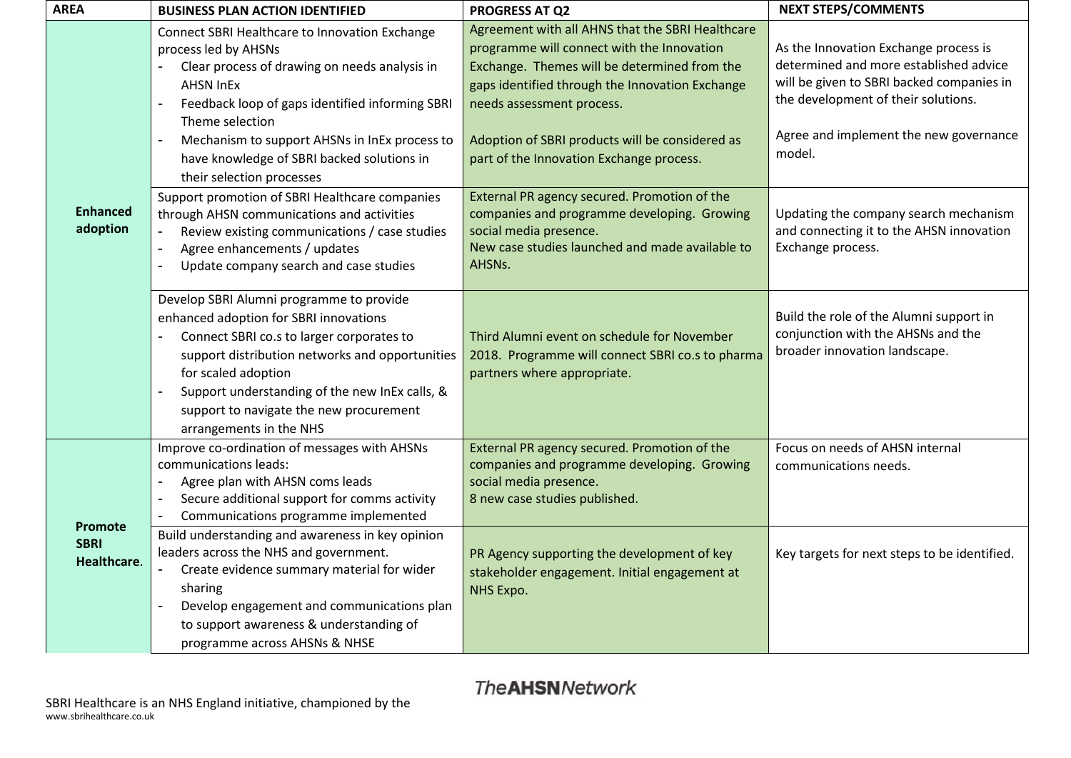| <b>AREA</b>                                  | <b>BUSINESS PLAN ACTION IDENTIFIED</b>                                                                                                                                                                                                                                                                                                                                            | <b>PROGRESS AT Q2</b>                                                                                                                                                                                                                                                                                                         | <b>NEXT STEPS/COMMENTS</b>                                                                                                                                                                                              |  |
|----------------------------------------------|-----------------------------------------------------------------------------------------------------------------------------------------------------------------------------------------------------------------------------------------------------------------------------------------------------------------------------------------------------------------------------------|-------------------------------------------------------------------------------------------------------------------------------------------------------------------------------------------------------------------------------------------------------------------------------------------------------------------------------|-------------------------------------------------------------------------------------------------------------------------------------------------------------------------------------------------------------------------|--|
|                                              | Connect SBRI Healthcare to Innovation Exchange<br>process led by AHSNs<br>Clear process of drawing on needs analysis in<br><b>AHSN InEx</b><br>$\overline{a}$<br>Feedback loop of gaps identified informing SBRI<br>Theme selection<br>Mechanism to support AHSNs in InEx process to<br>$\blacksquare$<br>have knowledge of SBRI backed solutions in<br>their selection processes | Agreement with all AHNS that the SBRI Healthcare<br>programme will connect with the Innovation<br>Exchange. Themes will be determined from the<br>gaps identified through the Innovation Exchange<br>needs assessment process.<br>Adoption of SBRI products will be considered as<br>part of the Innovation Exchange process. | As the Innovation Exchange process is<br>determined and more established advice<br>will be given to SBRI backed companies in<br>the development of their solutions.<br>Agree and implement the new governance<br>model. |  |
| <b>Enhanced</b><br>adoption                  | Support promotion of SBRI Healthcare companies<br>through AHSN communications and activities<br>Review existing communications / case studies<br>Agree enhancements / updates<br>$\blacksquare$<br>Update company search and case studies<br>$\blacksquare$                                                                                                                       | External PR agency secured. Promotion of the<br>companies and programme developing. Growing<br>social media presence.<br>New case studies launched and made available to<br>AHSNs.                                                                                                                                            | Updating the company search mechanism<br>and connecting it to the AHSN innovation<br>Exchange process.                                                                                                                  |  |
|                                              | Develop SBRI Alumni programme to provide<br>enhanced adoption for SBRI innovations<br>Connect SBRI co.s to larger corporates to<br>support distribution networks and opportunities<br>for scaled adoption<br>Support understanding of the new InEx calls, &<br>$\overline{a}$<br>support to navigate the new procurement<br>arrangements in the NHS                               | Third Alumni event on schedule for November<br>2018. Programme will connect SBRI co.s to pharma<br>partners where appropriate.                                                                                                                                                                                                | Build the role of the Alumni support in<br>conjunction with the AHSNs and the<br>broader innovation landscape.                                                                                                          |  |
|                                              | Improve co-ordination of messages with AHSNs<br>communications leads:<br>Agree plan with AHSN coms leads<br>$\blacksquare$<br>Secure additional support for comms activity<br>$\blacksquare$<br>Communications programme implemented<br>$\blacksquare$                                                                                                                            | External PR agency secured. Promotion of the<br>companies and programme developing. Growing<br>social media presence.<br>8 new case studies published.                                                                                                                                                                        | Focus on needs of AHSN internal<br>communications needs.                                                                                                                                                                |  |
| <b>Promote</b><br><b>SBRI</b><br>Healthcare. | Build understanding and awareness in key opinion<br>leaders across the NHS and government.<br>Create evidence summary material for wider<br>sharing<br>Develop engagement and communications plan<br>$\blacksquare$<br>to support awareness & understanding of<br>programme across AHSNs & NHSE                                                                                   | PR Agency supporting the development of key<br>stakeholder engagement. Initial engagement at<br>NHS Expo.                                                                                                                                                                                                                     | Key targets for next steps to be identified.                                                                                                                                                                            |  |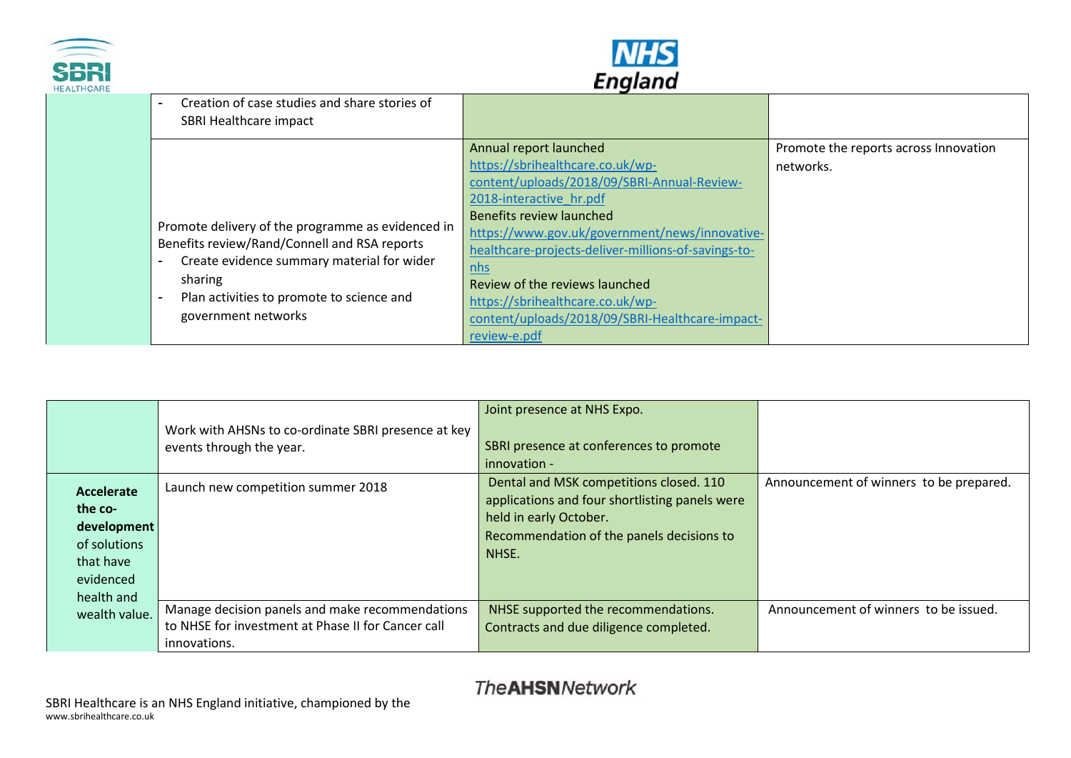



| CARE |                                                                                                                                                                                                                                                            | Lugianu                                                                                                                                                                                                                                                                                                                                                                                                                   |                                                    |
|------|------------------------------------------------------------------------------------------------------------------------------------------------------------------------------------------------------------------------------------------------------------|---------------------------------------------------------------------------------------------------------------------------------------------------------------------------------------------------------------------------------------------------------------------------------------------------------------------------------------------------------------------------------------------------------------------------|----------------------------------------------------|
|      | Creation of case studies and share stories of<br>SBRI Healthcare impact                                                                                                                                                                                    |                                                                                                                                                                                                                                                                                                                                                                                                                           |                                                    |
|      | Promote delivery of the programme as evidenced in<br>Benefits review/Rand/Connell and RSA reports<br>Create evidence summary material for wider<br>$\overline{\phantom{a}}$<br>sharing<br>Plan activities to promote to science and<br>government networks | Annual report launched<br>https://sbrihealthcare.co.uk/wp-<br>content/uploads/2018/09/SBRI-Annual-Review-<br>2018-interactive hr.pdf<br>Benefits review launched<br>https://www.gov.uk/government/news/innovative-<br>healthcare-projects-deliver-millions-of-savings-to-<br>nhs<br>Review of the reviews launched<br>https://sbrihealthcare.co.uk/wp-<br>content/uploads/2018/09/SBRI-Healthcare-impact-<br>review-e.pdf | Promote the reports across Innovation<br>networks. |

|                                                                                              | Work with AHSNs to co-ordinate SBRI presence at key<br>events through the year.                                       | Joint presence at NHS Expo.<br>SBRI presence at conferences to promote<br>innovation -                                                                                    |                                         |
|----------------------------------------------------------------------------------------------|-----------------------------------------------------------------------------------------------------------------------|---------------------------------------------------------------------------------------------------------------------------------------------------------------------------|-----------------------------------------|
| Accelerate<br>the co-<br>development<br>of solutions<br>that have<br>evidenced<br>health and | Launch new competition summer 2018                                                                                    | Dental and MSK competitions closed. 110<br>applications and four shortlisting panels were<br>held in early October.<br>Recommendation of the panels decisions to<br>NHSE. | Announcement of winners to be prepared. |
| wealth value.                                                                                | Manage decision panels and make recommendations<br>to NHSE for investment at Phase II for Cancer call<br>innovations. | NHSE supported the recommendations.<br>Contracts and due diligence completed.                                                                                             | Announcement of winners to be issued.   |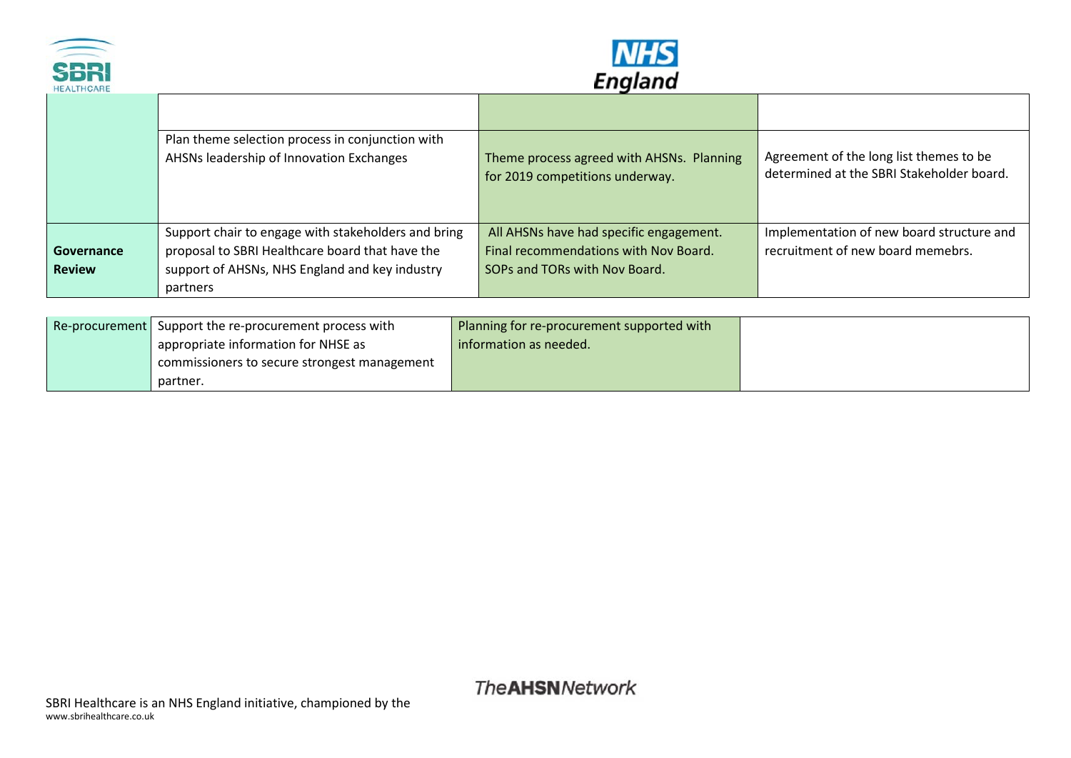



|               | Plan theme selection process in conjunction with<br>AHSNs leadership of Innovation Exchanges | Theme process agreed with AHSNs. Planning | Agreement of the long list themes to be   |
|---------------|----------------------------------------------------------------------------------------------|-------------------------------------------|-------------------------------------------|
|               |                                                                                              | for 2019 competitions underway.           | determined at the SBRI Stakeholder board. |
|               |                                                                                              |                                           |                                           |
|               | Support chair to engage with stakeholders and bring                                          | All AHSNs have had specific engagement.   | Implementation of new board structure and |
| Governance    | proposal to SBRI Healthcare board that have the                                              | Final recommendations with Nov Board.     | recruitment of new board memebrs.         |
| <b>Review</b> | support of AHSNs, NHS England and key industry                                               | SOPs and TORs with Nov Board.             |                                           |
|               | partners                                                                                     |                                           |                                           |
|               |                                                                                              |                                           |                                           |

| Re-procurement   Support the re-procurement process with | Planning for re-procurement supported with |  |
|----------------------------------------------------------|--------------------------------------------|--|
| appropriate information for NHSE as                      | information as needed.                     |  |
| commissioners to secure strongest management             |                                            |  |
| partner.                                                 |                                            |  |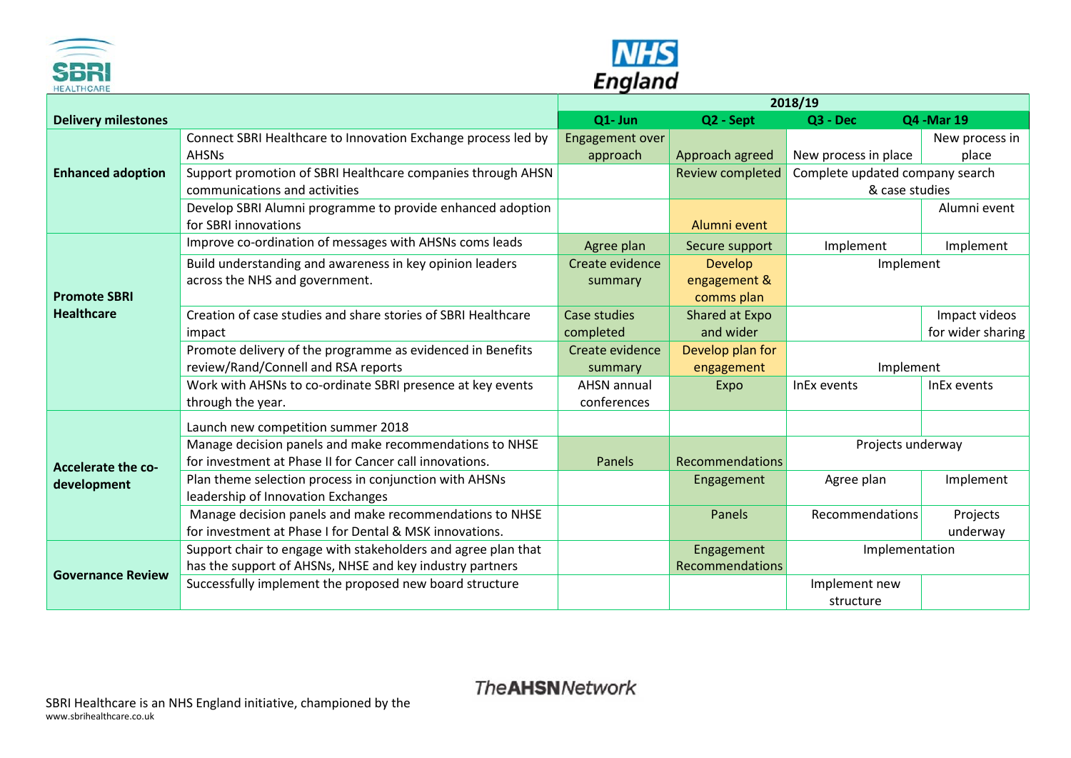



| <b>HEALIHCARE</b>          | -<br>2018/19                                                  |                        |                         |                                 |                   |
|----------------------------|---------------------------------------------------------------|------------------------|-------------------------|---------------------------------|-------------------|
| <b>Delivery milestones</b> |                                                               | Q1- Jun                | Q2 - Sept               | Q3 - Dec                        | Q4 - Mar 19       |
|                            | Connect SBRI Healthcare to Innovation Exchange process led by | <b>Engagement over</b> |                         |                                 | New process in    |
|                            | <b>AHSNs</b>                                                  | approach               | Approach agreed         | New process in place            | place             |
| <b>Enhanced adoption</b>   | Support promotion of SBRI Healthcare companies through AHSN   |                        | <b>Review completed</b> | Complete updated company search |                   |
|                            | communications and activities                                 |                        |                         | & case studies                  |                   |
|                            | Develop SBRI Alumni programme to provide enhanced adoption    |                        |                         |                                 | Alumni event      |
|                            | for SBRI innovations                                          |                        | Alumni event            |                                 |                   |
|                            | Improve co-ordination of messages with AHSNs coms leads       | Agree plan             | Secure support          | Implement                       | Implement         |
|                            | Build understanding and awareness in key opinion leaders      | Create evidence        | <b>Develop</b>          | Implement                       |                   |
|                            | across the NHS and government.                                | summary                | engagement &            |                                 |                   |
| <b>Promote SBRI</b>        |                                                               |                        | comms plan              |                                 |                   |
| <b>Healthcare</b>          | Creation of case studies and share stories of SBRI Healthcare | Case studies           | Shared at Expo          |                                 | Impact videos     |
|                            | impact                                                        | completed              | and wider               |                                 | for wider sharing |
|                            | Promote delivery of the programme as evidenced in Benefits    | Create evidence        | Develop plan for        |                                 |                   |
|                            | review/Rand/Connell and RSA reports                           | summary                | engagement              | Implement                       |                   |
|                            | Work with AHSNs to co-ordinate SBRI presence at key events    | <b>AHSN</b> annual     | Expo                    | InEx events                     | InEx events       |
|                            | through the year.                                             | conferences            |                         |                                 |                   |
|                            | Launch new competition summer 2018                            |                        |                         |                                 |                   |
|                            | Manage decision panels and make recommendations to NHSE       |                        |                         | Projects underway               |                   |
| <b>Accelerate the co-</b>  | for investment at Phase II for Cancer call innovations.       | Panels                 | <b>Recommendations</b>  |                                 |                   |
| development                | Plan theme selection process in conjunction with AHSNs        |                        | Engagement              | Agree plan                      | Implement         |
|                            | leadership of Innovation Exchanges                            |                        |                         |                                 |                   |
|                            | Manage decision panels and make recommendations to NHSE       |                        | Panels                  | <b>Recommendations</b>          | Projects          |
|                            | for investment at Phase I for Dental & MSK innovations.       |                        |                         |                                 | underway          |
|                            | Support chair to engage with stakeholders and agree plan that |                        | Engagement              | Implementation                  |                   |
| <b>Governance Review</b>   | has the support of AHSNs, NHSE and key industry partners      |                        | Recommendations         |                                 |                   |
|                            | Successfully implement the proposed new board structure       |                        |                         | Implement new                   |                   |
|                            |                                                               |                        |                         | structure                       |                   |